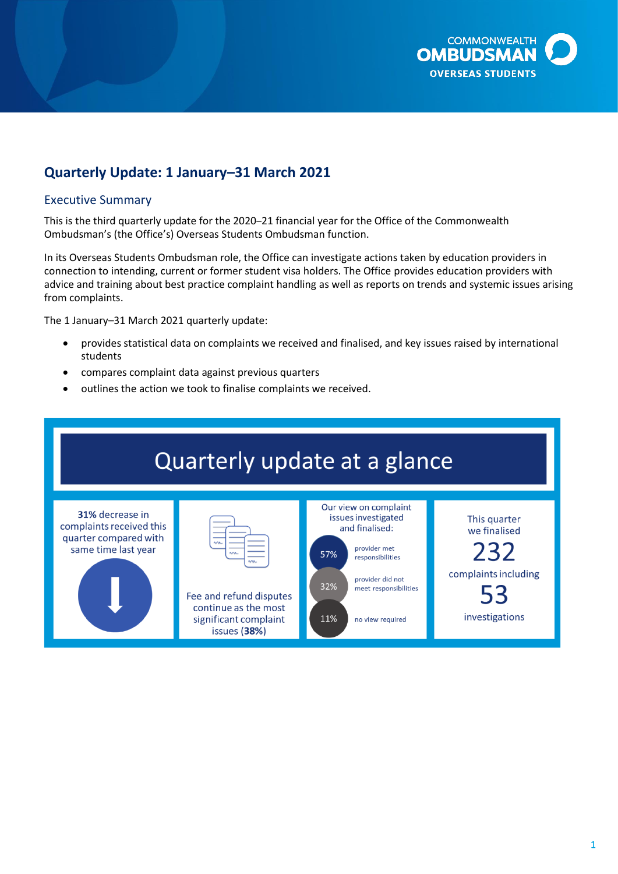

# **Quarterly Update: 1 January–31 March 2021**

#### Executive Summary

This is the third quarterly update for the 2020–21 financial year for the Office of the Commonwealth Ombudsman's (the Office's) Overseas Students Ombudsman function.

In its Overseas Students Ombudsman role, the Office can investigate actions taken by education providers in connection to intending, current or former student visa holders. The Office provides education providers with advice and training about best practice complaint handling as well as reports on trends and systemic issues arising from complaints.

The 1 January–31 March 2021 quarterly update:

- provides statistical data on complaints we received and finalised, and key issues raised by international students
- compares complaint data against previous quarters
- outlines the action we took to finalise complaints we received.

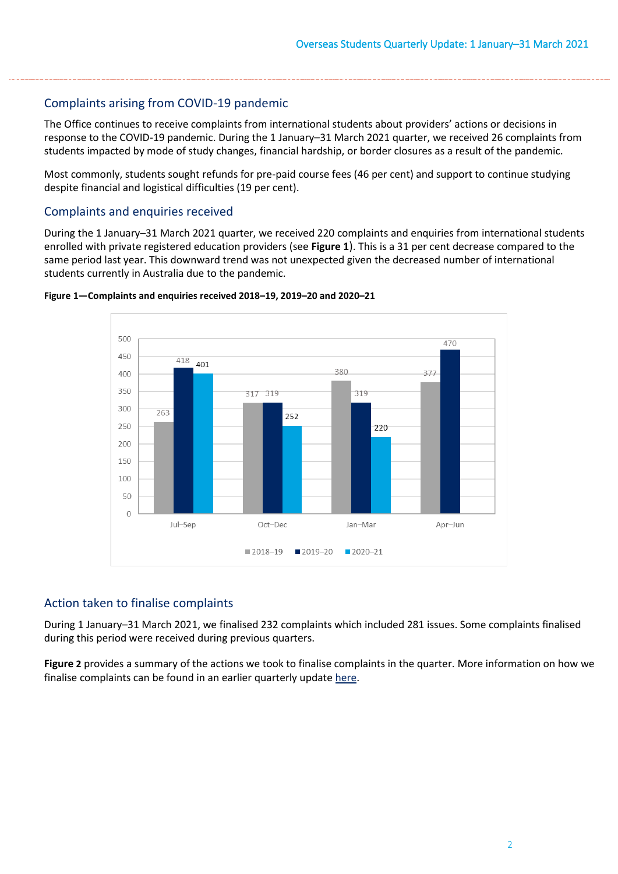# Complaints arising from COVID-19 pandemic

 response to the COVID-19 pandemic. During the 1 January–31 March 2021 quarter, we received 26 complaints from The Office continues to receive complaints from international students about providers' actions or decisions in students impacted by mode of study changes, financial hardship, or border closures as a result of the pandemic.

Most commonly, students sought refunds for pre-paid course fees (46 per cent) and support to continue studying despite financial and logistical difficulties (19 per cent).

#### Complaints and enquiries received

 enrolled with private registered education providers (see **[Figure 1](#page-1-0)**). This is a 31 per cent decrease compared to the During the 1 January–31 March 2021 quarter, we received 220 complaints and enquiries from international students same period last year. This downward trend was not unexpected given the decreased number of international students currently in Australia due to the pandemic.



<span id="page-1-0"></span>

### Action taken to finalise complaints

During 1 January–31 March 2021, we finalised 232 complaints which included 281 issues. Some complaints finalised during this period were received during previous quarters.

**[Figure 2](#page-2-0)** provides a summary of the actions we took to finalise complaints in the quarter. More information on how we finalise complaints can be found in an earlier quarterly update [here.](https://www.ombudsman.gov.au/__data/assets/pdf_file/0011/110621/Overseas-Students-Quarterly-Summary-October-to-December-2019.pdf)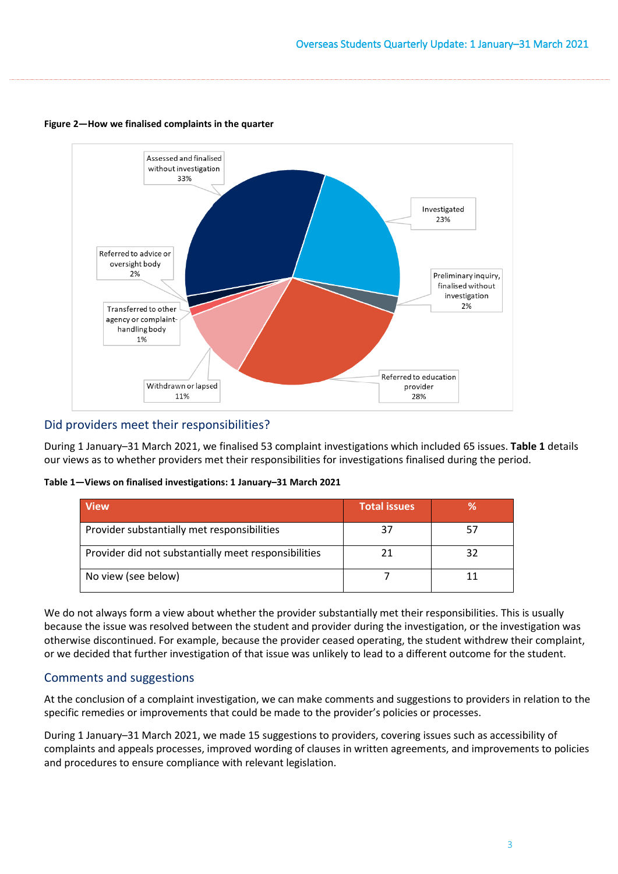

#### <span id="page-2-0"></span>**Figure 2—How we finalised complaints in the quarter**

### Did providers meet their responsibilities?

During 1 January–31 March 2021, we finalised 53 complaint investigations which included 65 issues. **[Table 1](#page-2-1)** details our views as to whether providers met their responsibilities for investigations finalised during the period.

<span id="page-2-1"></span>**Table 1—Views on finalised investigations: 1 January–31 March 2021** 

| <b>View</b>                                          | <b>Total issues</b> | ℅  |
|------------------------------------------------------|---------------------|----|
| Provider substantially met responsibilities          |                     |    |
| Provider did not substantially meet responsibilities |                     | 32 |
| No view (see below)                                  |                     |    |

 or we decided that further investigation of that issue was unlikely to lead to a different outcome for the student. We do not always form a view about whether the provider substantially met their responsibilities. This is usually because the issue was resolved between the student and provider during the investigation, or the investigation was otherwise discontinued. For example, because the provider ceased operating, the student withdrew their complaint,

# Comments and suggestions

At the conclusion of a complaint investigation, we can make comments and suggestions to providers in relation to the specific remedies or improvements that could be made to the provider's policies or processes.

During 1 January–31 March 2021, we made 15 suggestions to providers, covering issues such as accessibility of complaints and appeals processes, improved wording of clauses in written agreements, and improvements to policies and procedures to ensure compliance with relevant legislation.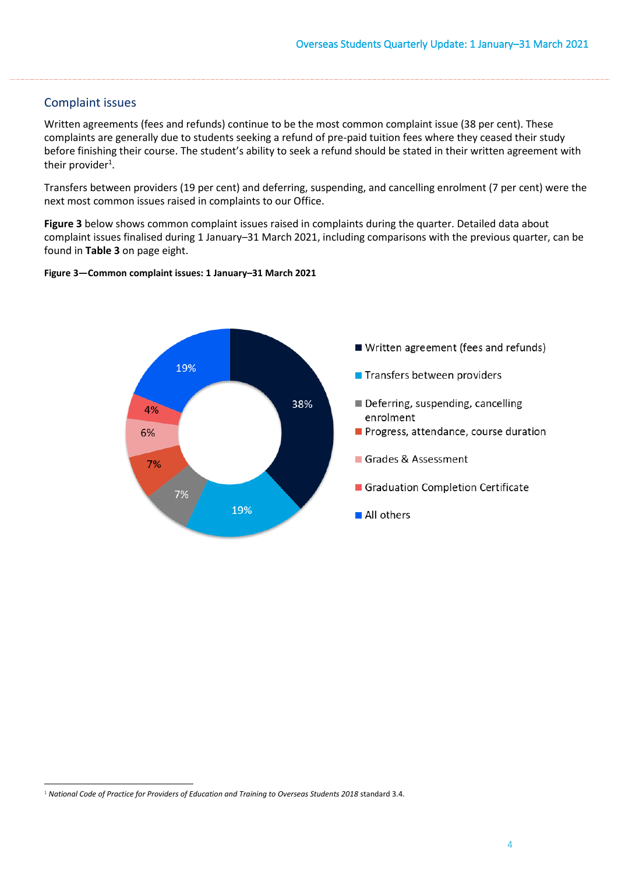### Complaint issues

 complaints are generally due to students seeking a refund of pre-paid tuition fees where they ceased their study Written agreements (fees and refunds) continue to be the most common complaint issue (38 per cent). These before finishing their course. The student's ability to seek a refund should be stated in their written agreement with their provider<sup>1</sup>.

Transfers between providers (19 per cent) and deferring, suspending, and cancelling enrolment (7 per cent) were the next most common issues raised in complaints to our Office.

**[Figure 3](#page-3-0)** below shows common complaint issues raised in complaints during the quarter. Detailed data about complaint issues finalised during 1 January–31 March 2021, including comparisons with the previous quarter, can be found in **[Table 3](#page-7-0)** on page eight.

#### <span id="page-3-0"></span>**Figure 3—Common complaint issues: 1 January–31 March 2021**



<sup>&</sup>lt;sup>1</sup> National Code of Practice for Providers of Education and Training to Overseas Students 2018 standard 3.4.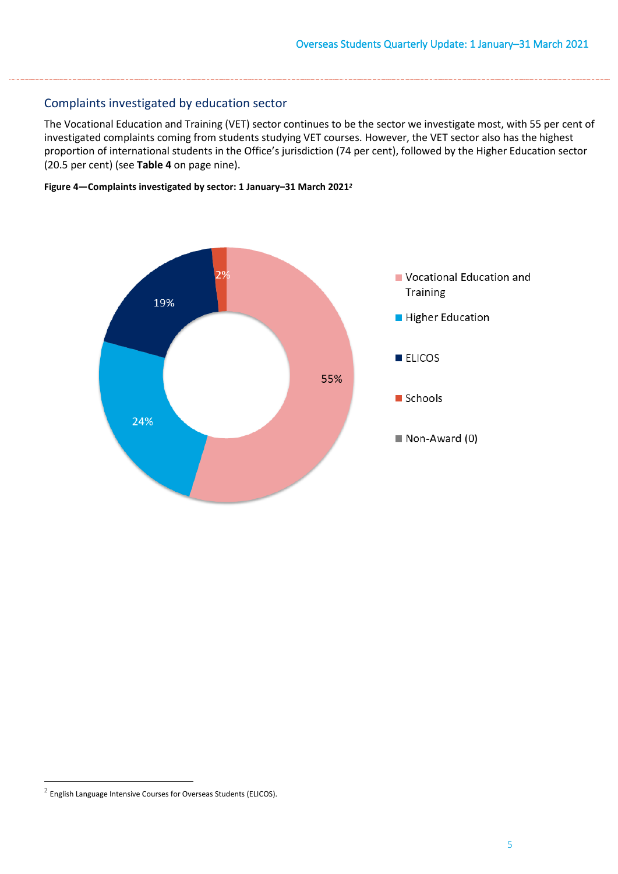# Complaints investigated by education sector

 investigated complaints coming from students studying VET courses. However, the VET sector also has the highest The Vocational Education and Training (VET) sector continues to be the sector we investigate most, with 55 per cent of proportion of international students in the Office's jurisdiction (74 per cent), followed by the Higher Education sector (20.5 per cent) (see **[Table 4](#page-8-0)** on page nine).





 $2$  English Language Intensive Courses for Overseas Students (ELICOS).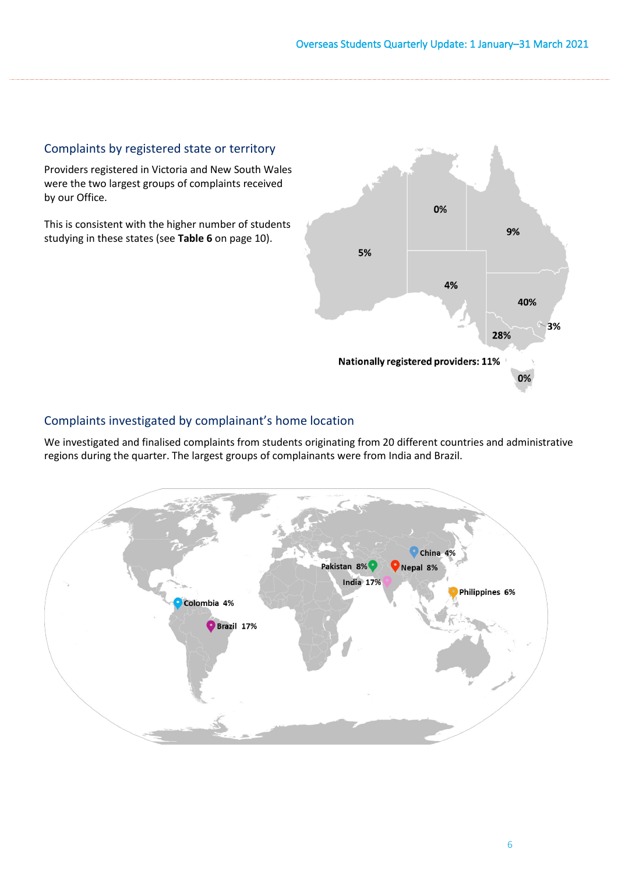# Complaints by registered state or territory

Providers registered in Victoria and New South Wales were the two largest groups of complaints received by our Office.

This is consistent with the higher number of students studying in these states (see **[Table 6](#page-9-0)** on page 10).



# Complaints investigated by complainant's home location

We investigated and finalised complaints from students originating from 20 different countries and administrative regions during the quarter. The largest groups of complainants were from India and Brazil.

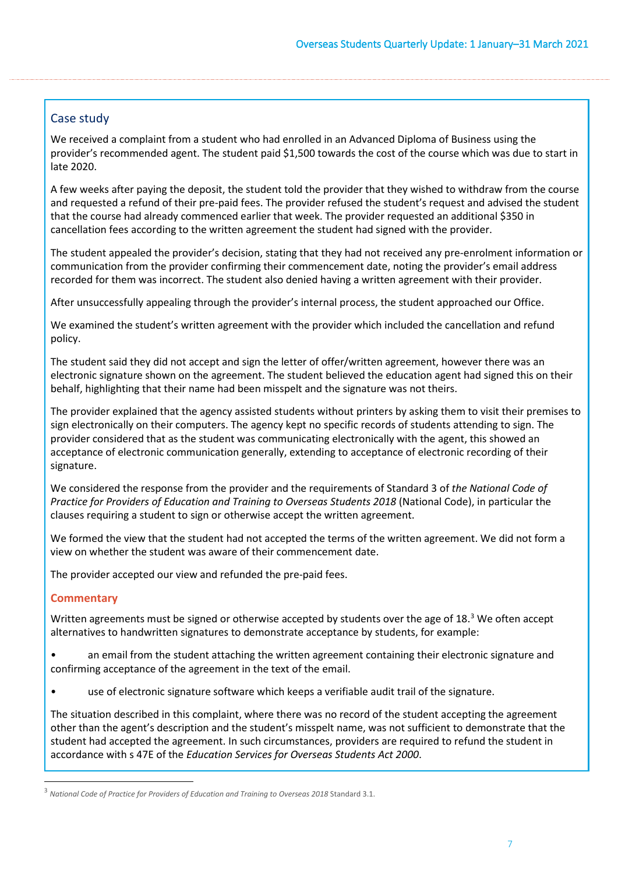# Case study

We received a complaint from a student who had enrolled in an Advanced Diploma of Business using the provider's recommended agent. The student paid \$1,500 towards the cost of the course which was due to start in late 2020.

A few weeks after paying the deposit, the student told the provider that they wished to withdraw from the course and requested a refund of their pre-paid fees. The provider refused the student's request and advised the student that the course had already commenced earlier that week. The provider requested an additional \$350 in cancellation fees according to the written agreement the student had signed with the provider.

The student appealed the provider's decision, stating that they had not received any pre-enrolment information or communication from the provider confirming their commencement date, noting the provider's email address recorded for them was incorrect. The student also denied having a written agreement with their provider.

After unsuccessfully appealing through the provider's internal process, the student approached our Office.

We examined the student's written agreement with the provider which included the cancellation and refund policy.

The student said they did not accept and sign the letter of offer/written agreement, however there was an electronic signature shown on the agreement. The student believed the education agent had signed this on their behalf, highlighting that their name had been misspelt and the signature was not theirs.

The provider explained that the agency assisted students without printers by asking them to visit their premises to sign electronically on their computers. The agency kept no specific records of students attending to sign. The provider considered that as the student was communicating electronically with the agent, this showed an acceptance of electronic communication generally, extending to acceptance of electronic recording of their signature.

We considered the response from the provider and the requirements of Standard 3 of *the National Code of Practice for Providers of Education and Training to Overseas Students 2018* (National Code), in particular the clauses requiring a student to sign or otherwise accept the written agreement.

We formed the view that the student had not accepted the terms of the written agreement. We did not form a view on whether the student was aware of their commencement date.

The provider accepted our view and refunded the pre-paid fees.

# **Commentary**

Written agreements must be signed or otherwise accepted by students over the age of 18.<sup>[3](#page-6-0)</sup> We often accept alternatives to handwritten signatures to demonstrate acceptance by students, for example:

• an email from the student attaching the written agreement containing their electronic signature and confirming acceptance of the agreement in the text of the email.

• use of electronic signature software which keeps a verifiable audit trail of the signature.

The situation described in this complaint, where there was no record of the student accepting the agreement other than the agent's description and the student's misspelt name, was not sufficient to demonstrate that the student had accepted the agreement. In such circumstances, providers are required to refund the student in accordance with s 47E of the *Education Services for Overseas Students Act 2000*.

<span id="page-6-0"></span><sup>3</sup> *National Code of Practice for Providers of Education and Training to Overseas 2018* Standard 3.1.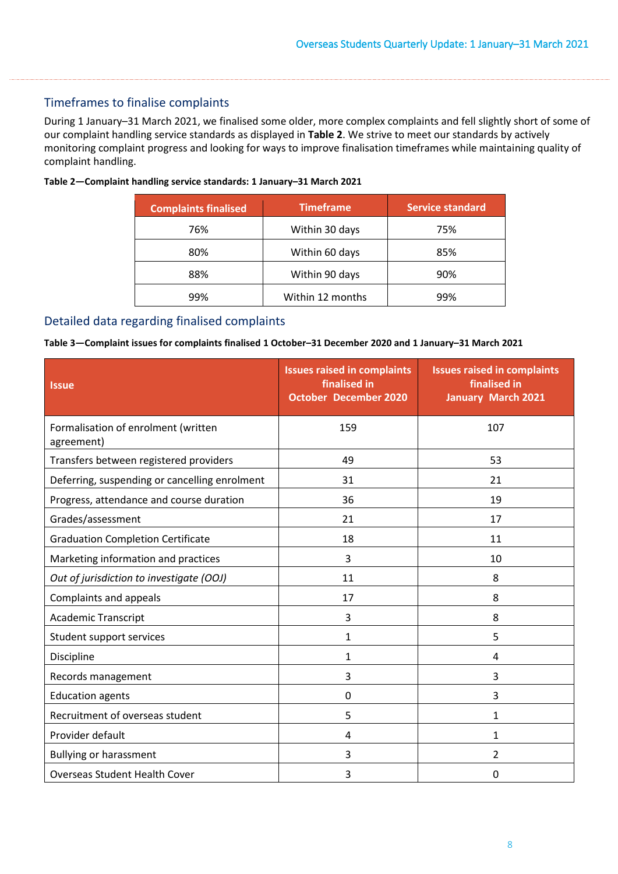# Timeframes to finalise complaints

During 1 January–31 March 2021, we finalised some older, more complex complaints and fell slightly short of some of our complaint handling service standards as displayed in **[Table 2](#page-7-1)**. We strive to meet our standards by actively monitoring complaint progress and looking for ways to improve finalisation timeframes while maintaining quality of complaint handling.

<span id="page-7-1"></span>

| Table 2-Complaint handling service standards: 1 January-31 March 2021 |  |
|-----------------------------------------------------------------------|--|
|-----------------------------------------------------------------------|--|

| <b>Complaints finalised</b> | <b>Timeframe</b> | <b>Service standard</b> |
|-----------------------------|------------------|-------------------------|
| 76%                         | Within 30 days   | 75%                     |
| 80%                         | Within 60 days   | 85%                     |
| 88%                         | Within 90 days   | 90%                     |
| 99%                         | Within 12 months | 99%                     |

# Detailed data regarding finalised complaints

#### <span id="page-7-0"></span>**Table 3—Complaint issues for complaints finalised 1 October–31 December 2020 and 1 January–31 March 2021**

| <b>Issue</b>                                      | <b>Issues raised in complaints</b><br>finalised in<br><b>October December 2020</b> | <b>Issues raised in complaints</b><br>finalised in<br><b>January March 2021</b> |
|---------------------------------------------------|------------------------------------------------------------------------------------|---------------------------------------------------------------------------------|
| Formalisation of enrolment (written<br>agreement) | 159                                                                                | 107                                                                             |
| Transfers between registered providers            | 49                                                                                 | 53                                                                              |
| Deferring, suspending or cancelling enrolment     | 31                                                                                 | 21                                                                              |
| Progress, attendance and course duration          | 36                                                                                 | 19                                                                              |
| Grades/assessment                                 | 21                                                                                 | 17                                                                              |
| <b>Graduation Completion Certificate</b>          | 18                                                                                 | 11                                                                              |
| Marketing information and practices               | 3                                                                                  | 10                                                                              |
| Out of jurisdiction to investigate (OOJ)          | 11                                                                                 | 8                                                                               |
| Complaints and appeals                            | 17                                                                                 | 8                                                                               |
| <b>Academic Transcript</b>                        | 3                                                                                  | 8                                                                               |
| Student support services                          | 1                                                                                  | 5                                                                               |
| Discipline                                        | $\mathbf{1}$                                                                       | 4                                                                               |
| Records management                                | 3                                                                                  | 3                                                                               |
| <b>Education agents</b>                           | 0                                                                                  | 3                                                                               |
| Recruitment of overseas student                   | 5                                                                                  | 1                                                                               |
| Provider default                                  | 4                                                                                  | 1                                                                               |
| <b>Bullying or harassment</b>                     | 3                                                                                  | 2                                                                               |
| <b>Overseas Student Health Cover</b>              | 3                                                                                  | 0                                                                               |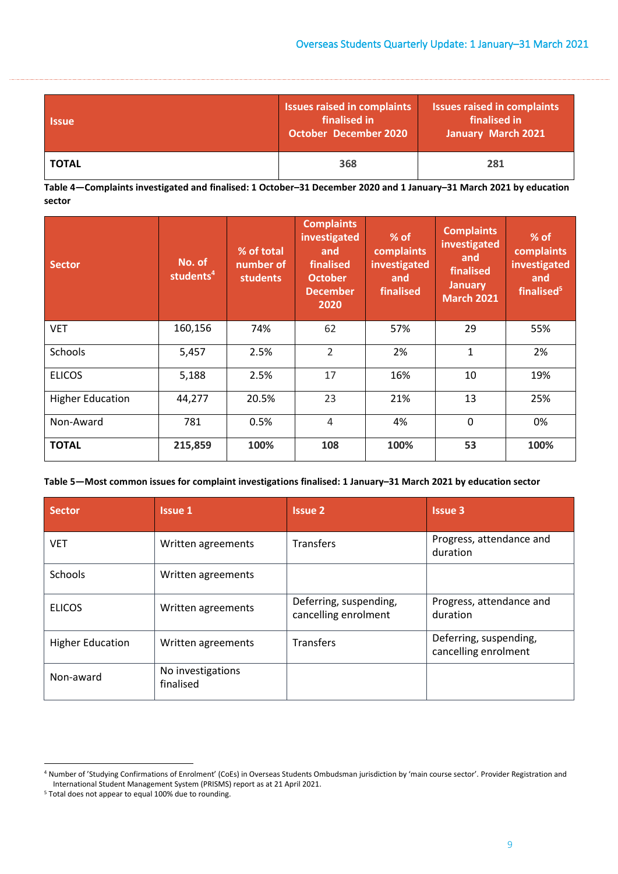| <b>Issue</b> | <b>Issues raised in complaints</b><br>finalised in<br><b>October December 2020</b> | <b>Issues raised in complaints</b><br>finalised in<br>January March 2021 |  |
|--------------|------------------------------------------------------------------------------------|--------------------------------------------------------------------------|--|
| <b>TOTAL</b> | 368                                                                                | 281                                                                      |  |

<span id="page-8-0"></span>**Table 4—Complaints investigated and finalised: 1 October–31 December 2020 and 1 January–31 March 2021 by education sector** 

| <b>Sector</b>           | No. of<br>students <sup>4</sup> | % of total<br>number of<br><b>students</b> | <b>Complaints</b><br>investigated<br>and<br>finalised<br><b>October</b><br><b>December</b><br>2020 | $%$ of<br>complaints<br>investigated<br>and<br>finalised | <b>Complaints</b><br>investigated<br>and<br>finalised<br><b>January</b><br><b>March 2021</b> | % of<br>complaints<br>investigated<br>and<br>finalised <sup>5</sup> |
|-------------------------|---------------------------------|--------------------------------------------|----------------------------------------------------------------------------------------------------|----------------------------------------------------------|----------------------------------------------------------------------------------------------|---------------------------------------------------------------------|
| <b>VET</b>              | 160,156                         | 74%                                        | 62                                                                                                 | 57%                                                      | 29                                                                                           | 55%                                                                 |
| Schools                 | 5,457                           | 2.5%                                       | $\overline{2}$                                                                                     | 2%                                                       | $\mathbf{1}$                                                                                 | 2%                                                                  |
| <b>ELICOS</b>           | 5,188                           | 2.5%                                       | 17                                                                                                 | 16%                                                      | 10                                                                                           | 19%                                                                 |
| <b>Higher Education</b> | 44,277                          | 20.5%                                      | 23                                                                                                 | 21%                                                      | 13                                                                                           | 25%                                                                 |
| Non-Award               | 781                             | 0.5%                                       | 4                                                                                                  | 4%                                                       | 0                                                                                            | 0%                                                                  |
| <b>TOTAL</b>            | 215,859                         | 100%                                       | 108                                                                                                | 100%                                                     | 53                                                                                           | 100%                                                                |

#### **Table 5—Most common issues for complaint investigations finalised: 1 January–31 March 2021 by education sector**

| <b>Sector</b>           | <b>Issue 1</b>                 | <b>Issue 2</b>                                 | <b>Issue 3</b>                                 |
|-------------------------|--------------------------------|------------------------------------------------|------------------------------------------------|
| <b>VET</b>              | Written agreements             | Transfers                                      | Progress, attendance and<br>duration           |
| Schools                 | Written agreements             |                                                |                                                |
| <b>ELICOS</b>           | Written agreements             | Deferring, suspending,<br>cancelling enrolment | Progress, attendance and<br>duration           |
| <b>Higher Education</b> | Written agreements             | Transfers                                      | Deferring, suspending,<br>cancelling enrolment |
| Non-award               | No investigations<br>finalised |                                                |                                                |

<sup>4</sup> Number of 'Studying Confirmations of Enrolment' (CoEs) in Overseas Students Ombudsman jurisdiction by 'main course sector'. Provider Registration and International Student Management System (PRISMS) report as at 21 April 2021. 5 Total does not appear to equal 100% due to rounding.